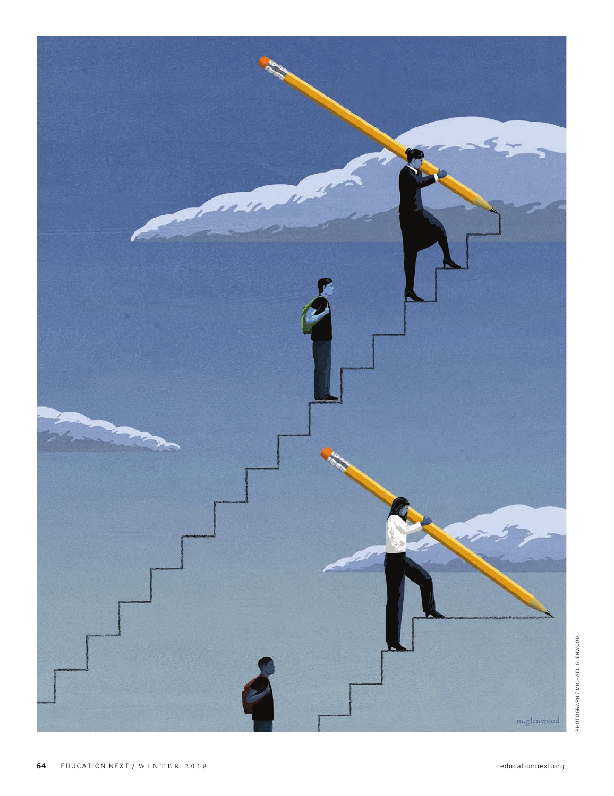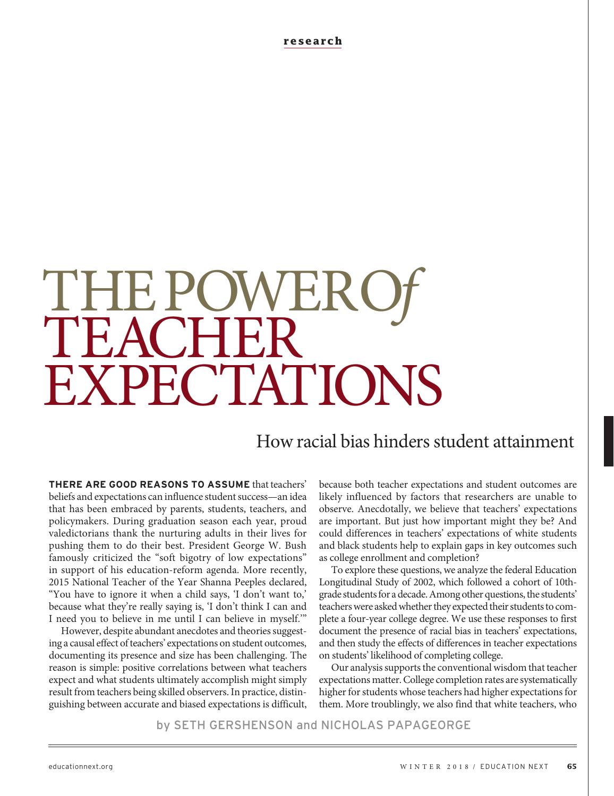**research**

# THE POWER<br>TEACHER EXPECTATIONS

# How racial bias hinders student attainment

**THERE ARE GOOD REASONS TO ASSUME** that teachers' beliefs and expectations can influence student success—an idea that has been embraced by parents, students, teachers, and policymakers. During graduation season each year, proud valedictorians thank the nurturing adults in their lives for pushing them to do their best. President George W. Bush famously criticized the "soft bigotry of low expectations" in support of his education-reform agenda. More recently, 2015 National Teacher of the Year Shanna Peeples declared, "You have to ignore it when a child says, 'I don't want to,' because what they're really saying is, 'I don't think I can and I need you to believe in me until I can believe in myself.'"

However, despite abundant anecdotes and theories suggesting a causal effect of teachers' expectations on student outcomes, documenting its presence and size has been challenging. The reason is simple: positive correlations between what teachers expect and what students ultimately accomplish might simply result from teachers being skilled observers. In practice, distinguishing between accurate and biased expectations is difficult,

because both teacher expectations and student outcomes are likely influenced by factors that researchers are unable to observe. Anecdotally, we believe that teachers' expectations are important. But just how important might they be? And could differences in teachers' expectations of white students and black students help to explain gaps in key outcomes such as college enrollment and completion?

To explore these questions, we analyze the federal Education Longitudinal Study of 2002, which followed a cohort of 10thgrade students for a decade. Among other questions, the students' teachers were asked whether they expected their students to complete a four-year college degree. We use these responses to first document the presence of racial bias in teachers' expectations, and then study the effects of differences in teacher expectations on students' likelihood of completing college.

Our analysis supports the conventional wisdom that teacher expectations matter. College completion rates are systematically higher for students whose teachers had higher expectations for them. More troublingly, we also find that white teachers, who

by SETH GERSHENSON and NICHOLAS PAPAGEORGE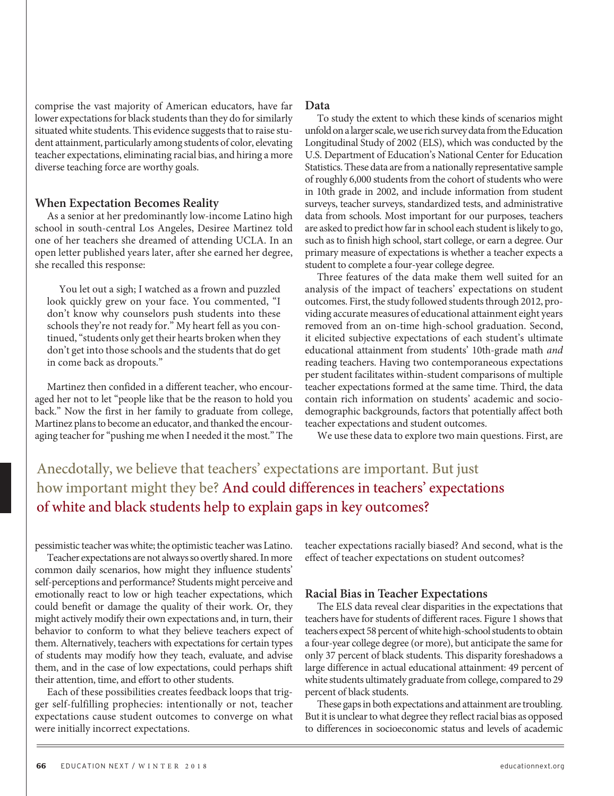comprise the vast majority of American educators, have far lower expectations for black students than they do for similarly situated white students. This evidence suggests that to raise student attainment, particularly among students of color, elevating teacher expectations, eliminating racial bias, and hiring a more diverse teaching force are worthy goals.

#### **When Expectation Becomes Reality**

As a senior at her predominantly low-income Latino high school in south-central Los Angeles, Desiree Martinez told one of her teachers she dreamed of attending UCLA. In an open letter published years later, after she earned her degree, she recalled this response:

You let out a sigh; I watched as a frown and puzzled look quickly grew on your face. You commented, "I don't know why counselors push students into these schools they're not ready for." My heart fell as you continued, "students only get their hearts broken when they don't get into those schools and the students that do get in come back as dropouts."

Martinez then confided in a different teacher, who encouraged her not to let "people like that be the reason to hold you back." Now the first in her family to graduate from college, Martinez plans to become an educator, and thanked the encouraging teacher for "pushing me when I needed it the most." The

#### **Data**

To study the extent to which these kinds of scenarios might unfold on a larger scale, we use rich survey data from the Education Longitudinal Study of 2002 (ELS), which was conducted by the U.S. Department of Education's National Center for Education Statistics. These data are from a nationally representative sample of roughly 6,000 students from the cohort of students who were in 10th grade in 2002, and include information from student surveys, teacher surveys, standardized tests, and administrative data from schools. Most important for our purposes, teachers are asked to predict how far in school each student is likely to go, such as to finish high school, start college, or earn a degree. Our primary measure of expectations is whether a teacher expects a student to complete a four-year college degree.

Three features of the data make them well suited for an analysis of the impact of teachers' expectations on student outcomes. First, the study followed students through 2012, providing accurate measures of educational attainment eight years removed from an on-time high-school graduation. Second, it elicited subjective expectations of each student's ultimate educational attainment from students' 10th-grade math and reading teachers. Having two contemporaneous expectations per student facilitates within-student comparisons of multiple teacher expectations formed at the same time. Third, the data contain rich information on students' academic and sociodemographic backgrounds, factors that potentially affect both teacher expectations and student outcomes.

We use these data to explore two main questions. First, are

# Anecdotally, we believe that teachers' expectations are important. But just how important might they be? And could differences in teachers' expectations of white and black students help to explain gaps in key outcomes?

pessimistic teacher was white; the optimistic teacher was Latino.

Teacher expectations are not always so overtly shared. In more common daily scenarios, how might they influence students' self-perceptions and performance? Students might perceive and emotionally react to low or high teacher expectations, which could benefit or damage the quality of their work. Or, they might actively modify their own expectations and, in turn, their behavior to conform to what they believe teachers expect of them. Alternatively, teachers with expectations for certain types of students may modify how they teach, evaluate, and advise them, and in the case of low expectations, could perhaps shift their attention, time, and effort to other students.

Each of these possibilities creates feedback loops that trigger self-fulfilling prophecies: intentionally or not, teacher expectations cause student outcomes to converge on what were initially incorrect expectations.

teacher expectations racially biased? And second, what is the effect of teacher expectations on student outcomes?

#### **Racial Bias in Teacher Expectations**

The ELS data reveal clear disparities in the expectations that teachers have for students of different races. Figure 1 shows that teachers expect 58 percent of white high-school students to obtain a four-year college degree (or more), but anticipate the same for only 37 percent of black students. This disparity foreshadows a large difference in actual educational attainment: 49 percent of white students ultimately graduate from college, compared to 29 percent of black students.

These gaps in both expectations and attainment are troubling. But it is unclear to what degree they reflect racial bias as opposed to differences in socioeconomic status and levels of academic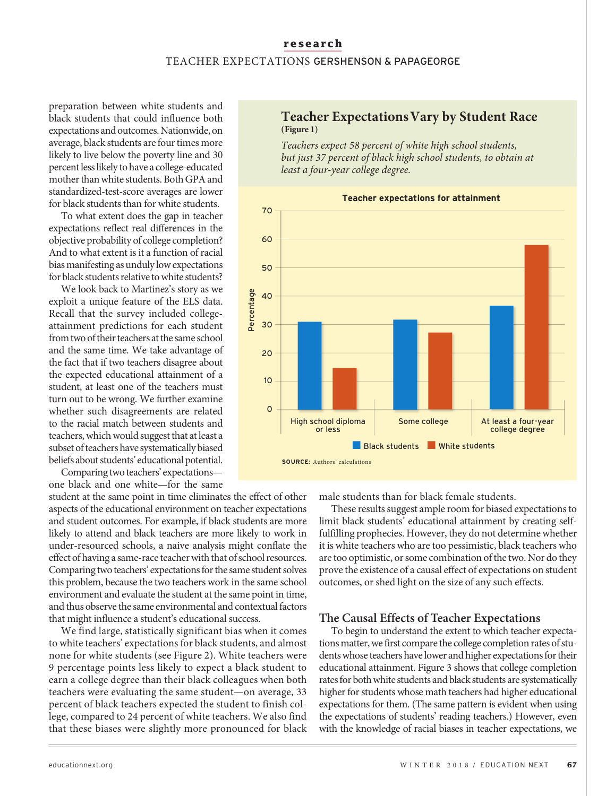## **research** TEACHER EXPECTATIONS GERSHENSON & PAPAGEORGE

preparation between white students and black students that could influence both expectations and outcomes. Nationwide, on average, black students are four times more likely to live below the poverty line and 30 percent less likely to have a college-educated mother than white students. Both GPA and standardized-test-score averages are lower for black students than for white students.

To what extent does the gap in teacher expectations reflect real differences in the objective probability of college completion? And to what extent is it a function of racial bias manifesting as unduly low expectations for black students relative to white students?

We look back to Martinez's story as we exploit a unique feature of the ELS data. Recall that the survey included collegeattainment predictions for each student from two of their teachers at the same school and the same time. We take advantage of the fact that if two teachers disagree about the expected educational attainment of a student, at least one of the teachers must turn out to be wrong. We further examine whether such disagreements are related to the racial match between students and teachers, which would suggest that at least a subset of teachers have systematically biased beliefs about students' educational potential.

Comparing two teachers' expectations one black and one white—for the same

student at the same point in time eliminates the effect of other aspects of the educational environment on teacher expectations and student outcomes. For example, if black students are more likely to attend and black teachers are more likely to work in under-resourced schools, a naive analysis might conflate the effect of having a same-race teacher with that of school resources. Comparing two teachers' expectations for the same student solves this problem, because the two teachers work in the same school environment and evaluate the student at the same point in time, and thus observe the same environmental and contextual factors that might influence a student's educational success.

We find large, statistically significant bias when it comes to white teachers' expectations for black students, and almost none for white students (see Figure 2). White teachers were 9 percentage points less likely to expect a black student to earn a college degree than their black colleagues when both teachers were evaluating the same student—on average, 33 percent of black teachers expected the student to finish college, compared to 24 percent of white teachers. We also find that these biases were slightly more pronounced for black

## **Teacher Expectations Vary by Student Race (Figure 1)**

Teachers expect 58 percent of white high school students, but just 37 percent of black high school students, to obtain at least a four-year college degree.



male students than for black female students.

These results suggest ample room for biased expectations to limit black students' educational attainment by creating selffulfilling prophecies. However, they do not determine whether it is white teachers who are too pessimistic, black teachers who are too optimistic, or some combination of the two. Nor do they prove the existence of a causal effect of expectations on student outcomes, or shed light on the size of any such effects.

#### **The Causal Effects of Teacher Expectations**

To begin to understand the extent to which teacher expectations matter, we first compare the college completion rates of students whose teachers have lower and higher expectations for their educational attainment. Figure 3 shows that college completion rates for both white students and black students are systematically higher for students whose math teachers had higher educational expectations for them. (The same pattern is evident when using the expectations of students' reading teachers.) However, even with the knowledge of racial biases in teacher expectations, we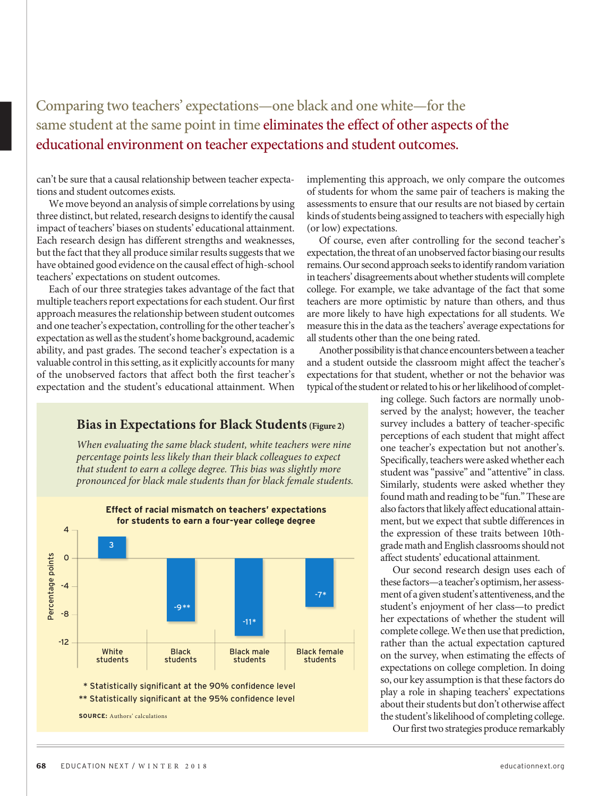# Comparing two teachers' expectations—one black and one white—for the same student at the same point in time eliminates the effect of other aspects of the educational environment on teacher expectations and student outcomes.

can't be sure that a causal relationship between teacher expectations and student outcomes exists.

We move beyond an analysis of simple correlations by using three distinct, but related, research designs to identify the causal impact of teachers' biases on students' educational attainment. Each research design has different strengths and weaknesses, but the fact that they all produce similar results suggests that we have obtained good evidence on the causal effect of high-school teachers' expectations on student outcomes.

Each of our three strategies takes advantage of the fact that multiple teachers report expectations for each student. Our first approach measures the relationship between student outcomes and one teacher's expectation, controlling for the other teacher's expectation as well as the student's home background, academic ability, and past grades. The second teacher's expectation is a valuable control in this setting, as it explicitly accounts for many of the unobserved factors that affect both the first teacher's expectation and the student's educational attainment. When

**Bias in Expectations for Black Students(Figure 2)**

When evaluating the same black student, white teachers were nine percentage points less likely than their black colleagues to expect that student to earn a college degree. This bias was slightly more pronounced for black male students than for black female students.



implementing this approach, we only compare the outcomes of students for whom the same pair of teachers is making the assessments to ensure that our results are not biased by certain kinds of students being assigned to teachers with especially high (or low) expectations.

Of course, even after controlling for the second teacher's expectation, the threat of an unobserved factor biasing our results remains. Our second approach seeks to identify random variation in teachers' disagreements about whether students will complete college. For example, we take advantage of the fact that some teachers are more optimistic by nature than others, and thus are more likely to have high expectations for all students. We measure this in the data as the teachers' average expectations for all students other than the one being rated.

Another possibility is that chance encounters between a teacher and a student outside the classroom might affect the teacher's expectations for that student, whether or not the behavior was typical of the student or related to his or her likelihood of complet-

> ing college. Such factors are normally unobserved by the analyst; however, the teacher survey includes a battery of teacher-specific perceptions of each student that might affect one teacher's expectation but not another's. Specifically, teachers were asked whether each student was "passive" and "attentive" in class. Similarly, students were asked whether they found math and reading to be "fun." These are also factors that likely affect educational attainment, but we expect that subtle differences in the expression of these traits between 10thgrade math and English classrooms should not affect students' educational attainment.

> Our second research design uses each of these factors—a teacher's optimism, her assessment of a given student's attentiveness, and the student's enjoyment of her class—to predict her expectations of whether the student will complete college. We then use that prediction, rather than the actual expectation captured on the survey, when estimating the effects of expectations on college completion. In doing so, our key assumption is that these factors do play a role in shaping teachers' expectations about their students but don't otherwise affect the student's likelihood of completing college.

Our first two strategies produce remarkably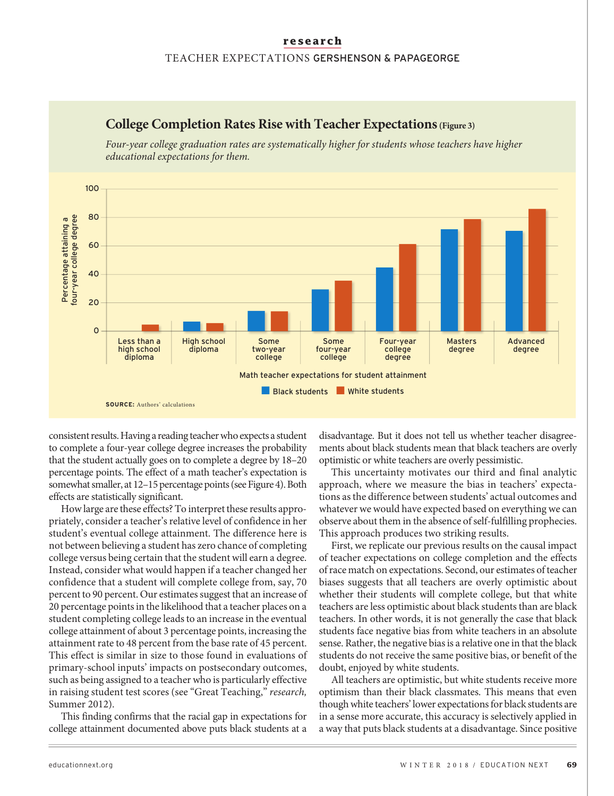### **research** TEACHER EXPECTATIONS GERSHENSON & PAPAGEORGE



**College Completion Rates Rise with Teacher Expectations(Figure 3)**

Four-year college graduation rates are systematically higher for students whose teachers have higher

consistent results. Having a reading teacher who expects a student to complete a four-year college degree increases the probability that the student actually goes on to complete a degree by 18–20 percentage points. The effect of a math teacher's expectation is somewhat smaller, at 12–15 percentage points (see Figure 4). Both effects are statistically significant.

How large are these effects? To interpret these results appropriately, consider a teacher's relative level of confidence in her student's eventual college attainment. The difference here is not between believing a student has zero chance of completing college versus being certain that the student will earn a degree. Instead, consider what would happen if a teacher changed her confidence that a student will complete college from, say, 70 percent to 90 percent. Our estimates suggest that an increase of 20 percentage points in the likelihood that a teacher places on a student completing college leads to an increase in the eventual college attainment of about 3 percentage points, increasing the attainment rate to 48 percent from the base rate of 45 percent. This effect is similar in size to those found in evaluations of primary-school inputs' impacts on postsecondary outcomes, such as being assigned to a teacher who is particularly effective in raising student test scores (see "Great Teaching," research, Summer 2012).

This finding confirms that the racial gap in expectations for college attainment documented above puts black students at a

disadvantage. But it does not tell us whether teacher disagreements about black students mean that black teachers are overly optimistic or white teachers are overly pessimistic.

This uncertainty motivates our third and final analytic approach, where we measure the bias in teachers' expectations as the difference between students' actual outcomes and whatever we would have expected based on everything we can observe about them in the absence of self-fulfilling prophecies. This approach produces two striking results.

First, we replicate our previous results on the causal impact of teacher expectations on college completion and the effects of race match on expectations. Second, our estimates of teacher biases suggests that all teachers are overly optimistic about whether their students will complete college, but that white teachers are less optimistic about black students than are black teachers. In other words, it is not generally the case that black students face negative bias from white teachers in an absolute sense. Rather, the negative bias is a relative one in that the black students do not receive the same positive bias, or benefit of the doubt, enjoyed by white students.

All teachers are optimistic, but white students receive more optimism than their black classmates. This means that even though white teachers' lower expectations for black students are in a sense more accurate, this accuracy is selectively applied in a way that puts black students at a disadvantage. Since positive